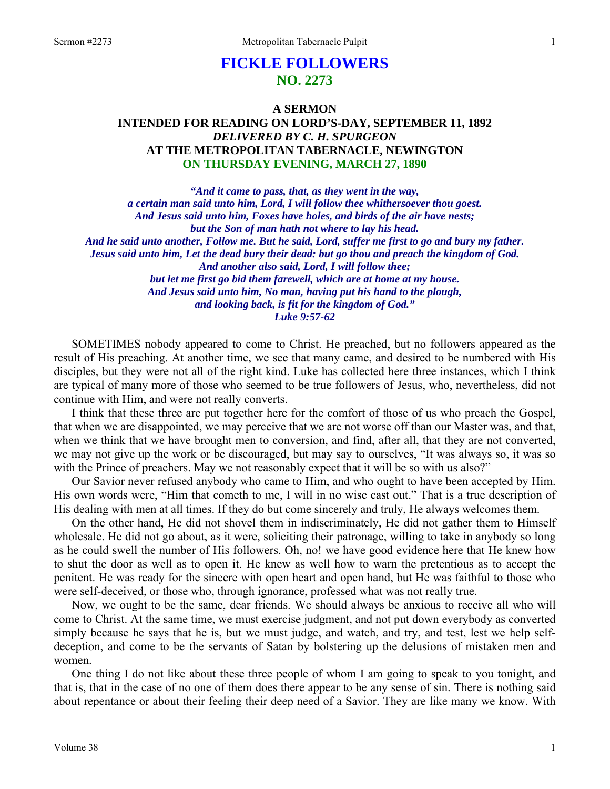# **FICKLE FOLLOWERS NO. 2273**

# **A SERMON INTENDED FOR READING ON LORD'S-DAY, SEPTEMBER 11, 1892**  *DELIVERED BY C. H. SPURGEON*  **AT THE METROPOLITAN TABERNACLE, NEWINGTON ON THURSDAY EVENING, MARCH 27, 1890**

*"And it came to pass, that, as they went in the way, a certain man said unto him, Lord, I will follow thee whithersoever thou goest. And Jesus said unto him, Foxes have holes, and birds of the air have nests; but the Son of man hath not where to lay his head. And he said unto another, Follow me. But he said, Lord, suffer me first to go and bury my father. Jesus said unto him, Let the dead bury their dead: but go thou and preach the kingdom of God. And another also said, Lord, I will follow thee; but let me first go bid them farewell, which are at home at my house. And Jesus said unto him, No man, having put his hand to the plough, and looking back, is fit for the kingdom of God." Luke 9:57-62* 

SOMETIMES nobody appeared to come to Christ. He preached, but no followers appeared as the result of His preaching. At another time, we see that many came, and desired to be numbered with His disciples, but they were not all of the right kind. Luke has collected here three instances, which I think are typical of many more of those who seemed to be true followers of Jesus, who, nevertheless, did not continue with Him, and were not really converts.

I think that these three are put together here for the comfort of those of us who preach the Gospel, that when we are disappointed, we may perceive that we are not worse off than our Master was, and that, when we think that we have brought men to conversion, and find, after all, that they are not converted, we may not give up the work or be discouraged, but may say to ourselves, "It was always so, it was so with the Prince of preachers. May we not reasonably expect that it will be so with us also?"

Our Savior never refused anybody who came to Him, and who ought to have been accepted by Him. His own words were, "Him that cometh to me, I will in no wise cast out." That is a true description of His dealing with men at all times. If they do but come sincerely and truly, He always welcomes them.

On the other hand, He did not shovel them in indiscriminately, He did not gather them to Himself wholesale. He did not go about, as it were, soliciting their patronage, willing to take in anybody so long as he could swell the number of His followers. Oh, no! we have good evidence here that He knew how to shut the door as well as to open it. He knew as well how to warn the pretentious as to accept the penitent. He was ready for the sincere with open heart and open hand, but He was faithful to those who were self-deceived, or those who, through ignorance, professed what was not really true.

Now, we ought to be the same, dear friends. We should always be anxious to receive all who will come to Christ. At the same time, we must exercise judgment, and not put down everybody as converted simply because he says that he is, but we must judge, and watch, and try, and test, lest we help selfdeception, and come to be the servants of Satan by bolstering up the delusions of mistaken men and women.

One thing I do not like about these three people of whom I am going to speak to you tonight, and that is, that in the case of no one of them does there appear to be any sense of sin. There is nothing said about repentance or about their feeling their deep need of a Savior. They are like many we know. With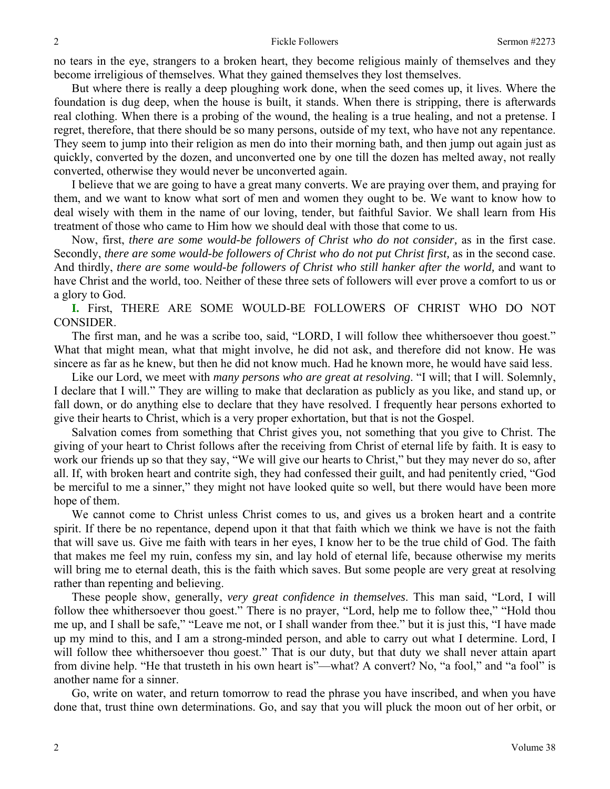no tears in the eye, strangers to a broken heart, they become religious mainly of themselves and they become irreligious of themselves. What they gained themselves they lost themselves.

But where there is really a deep ploughing work done, when the seed comes up, it lives. Where the foundation is dug deep, when the house is built, it stands. When there is stripping, there is afterwards real clothing. When there is a probing of the wound, the healing is a true healing, and not a pretense. I regret, therefore, that there should be so many persons, outside of my text, who have not any repentance. They seem to jump into their religion as men do into their morning bath, and then jump out again just as quickly, converted by the dozen, and unconverted one by one till the dozen has melted away, not really converted, otherwise they would never be unconverted again.

I believe that we are going to have a great many converts. We are praying over them, and praying for them, and we want to know what sort of men and women they ought to be. We want to know how to deal wisely with them in the name of our loving, tender, but faithful Savior. We shall learn from His treatment of those who came to Him how we should deal with those that come to us.

Now, first, *there are some would-be followers of Christ who do not consider,* as in the first case. Secondly, *there are some would-be followers of Christ who do not put Christ first,* as in the second case. And thirdly, *there are some would-be followers of Christ who still hanker after the world*, and want to have Christ and the world, too. Neither of these three sets of followers will ever prove a comfort to us or a glory to God.

**I.** First, THERE ARE SOME WOULD-BE FOLLOWERS OF CHRIST WHO DO NOT CONSIDER.

The first man, and he was a scribe too, said, "LORD, I will follow thee whithersoever thou goest." What that might mean, what that might involve, he did not ask, and therefore did not know. He was sincere as far as he knew, but then he did not know much. Had he known more, he would have said less.

Like our Lord, we meet with *many persons who are great at resolving*. "I will; that I will. Solemnly, I declare that I will." They are willing to make that declaration as publicly as you like, and stand up, or fall down, or do anything else to declare that they have resolved. I frequently hear persons exhorted to give their hearts to Christ, which is a very proper exhortation, but that is not the Gospel.

Salvation comes from something that Christ gives you, not something that you give to Christ. The giving of your heart to Christ follows after the receiving from Christ of eternal life by faith. It is easy to work our friends up so that they say, "We will give our hearts to Christ," but they may never do so, after all. If, with broken heart and contrite sigh, they had confessed their guilt, and had penitently cried, "God be merciful to me a sinner," they might not have looked quite so well, but there would have been more hope of them.

We cannot come to Christ unless Christ comes to us, and gives us a broken heart and a contrite spirit. If there be no repentance, depend upon it that that faith which we think we have is not the faith that will save us. Give me faith with tears in her eyes, I know her to be the true child of God. The faith that makes me feel my ruin, confess my sin, and lay hold of eternal life, because otherwise my merits will bring me to eternal death, this is the faith which saves. But some people are very great at resolving rather than repenting and believing.

These people show, generally, *very great confidence in themselves*. This man said, "Lord, I will follow thee whithersoever thou goest." There is no prayer, "Lord, help me to follow thee," "Hold thou me up, and I shall be safe," "Leave me not, or I shall wander from thee." but it is just this, "I have made up my mind to this, and I am a strong-minded person, and able to carry out what I determine. Lord, I will follow thee whithersoever thou goest." That is our duty, but that duty we shall never attain apart from divine help. "He that trusteth in his own heart is"—what? A convert? No, "a fool," and "a fool" is another name for a sinner.

Go, write on water, and return tomorrow to read the phrase you have inscribed, and when you have done that, trust thine own determinations. Go, and say that you will pluck the moon out of her orbit, or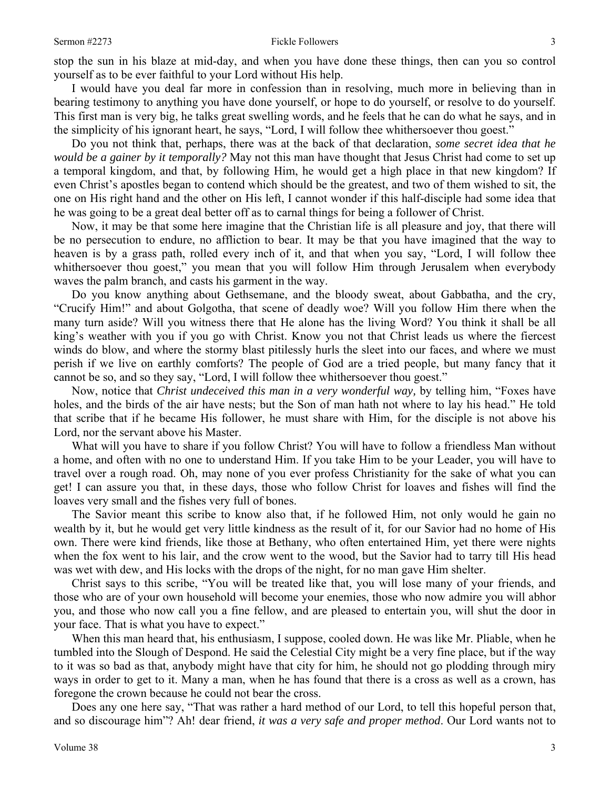stop the sun in his blaze at mid-day, and when you have done these things, then can you so control yourself as to be ever faithful to your Lord without His help.

I would have you deal far more in confession than in resolving, much more in believing than in bearing testimony to anything you have done yourself, or hope to do yourself, or resolve to do yourself. This first man is very big, he talks great swelling words, and he feels that he can do what he says, and in the simplicity of his ignorant heart, he says, "Lord, I will follow thee whithersoever thou goest."

Do you not think that, perhaps, there was at the back of that declaration, *some secret idea that he would be a gainer by it temporally?* May not this man have thought that Jesus Christ had come to set up a temporal kingdom, and that, by following Him, he would get a high place in that new kingdom? If even Christ's apostles began to contend which should be the greatest, and two of them wished to sit, the one on His right hand and the other on His left, I cannot wonder if this half-disciple had some idea that he was going to be a great deal better off as to carnal things for being a follower of Christ.

Now, it may be that some here imagine that the Christian life is all pleasure and joy, that there will be no persecution to endure, no affliction to bear. It may be that you have imagined that the way to heaven is by a grass path, rolled every inch of it, and that when you say, "Lord, I will follow thee whithersoever thou goest," you mean that you will follow Him through Jerusalem when everybody waves the palm branch, and casts his garment in the way.

Do you know anything about Gethsemane, and the bloody sweat, about Gabbatha, and the cry, "Crucify Him!" and about Golgotha, that scene of deadly woe? Will you follow Him there when the many turn aside? Will you witness there that He alone has the living Word? You think it shall be all king's weather with you if you go with Christ. Know you not that Christ leads us where the fiercest winds do blow, and where the stormy blast pitilessly hurls the sleet into our faces, and where we must perish if we live on earthly comforts? The people of God are a tried people, but many fancy that it cannot be so, and so they say, "Lord, I will follow thee whithersoever thou goest."

Now, notice that *Christ undeceived this man in a very wonderful way,* by telling him, "Foxes have holes, and the birds of the air have nests; but the Son of man hath not where to lay his head." He told that scribe that if he became His follower, he must share with Him, for the disciple is not above his Lord, nor the servant above his Master.

What will you have to share if you follow Christ? You will have to follow a friendless Man without a home, and often with no one to understand Him. If you take Him to be your Leader, you will have to travel over a rough road. Oh, may none of you ever profess Christianity for the sake of what you can get! I can assure you that, in these days, those who follow Christ for loaves and fishes will find the loaves very small and the fishes very full of bones.

The Savior meant this scribe to know also that, if he followed Him, not only would he gain no wealth by it, but he would get very little kindness as the result of it, for our Savior had no home of His own. There were kind friends, like those at Bethany, who often entertained Him, yet there were nights when the fox went to his lair, and the crow went to the wood, but the Savior had to tarry till His head was wet with dew, and His locks with the drops of the night, for no man gave Him shelter.

Christ says to this scribe, "You will be treated like that, you will lose many of your friends, and those who are of your own household will become your enemies, those who now admire you will abhor you, and those who now call you a fine fellow, and are pleased to entertain you, will shut the door in your face. That is what you have to expect."

When this man heard that, his enthusiasm, I suppose, cooled down. He was like Mr. Pliable, when he tumbled into the Slough of Despond. He said the Celestial City might be a very fine place, but if the way to it was so bad as that, anybody might have that city for him, he should not go plodding through miry ways in order to get to it. Many a man, when he has found that there is a cross as well as a crown, has foregone the crown because he could not bear the cross.

Does any one here say, "That was rather a hard method of our Lord, to tell this hopeful person that, and so discourage him"? Ah! dear friend, *it was a very safe and proper method*. Our Lord wants not to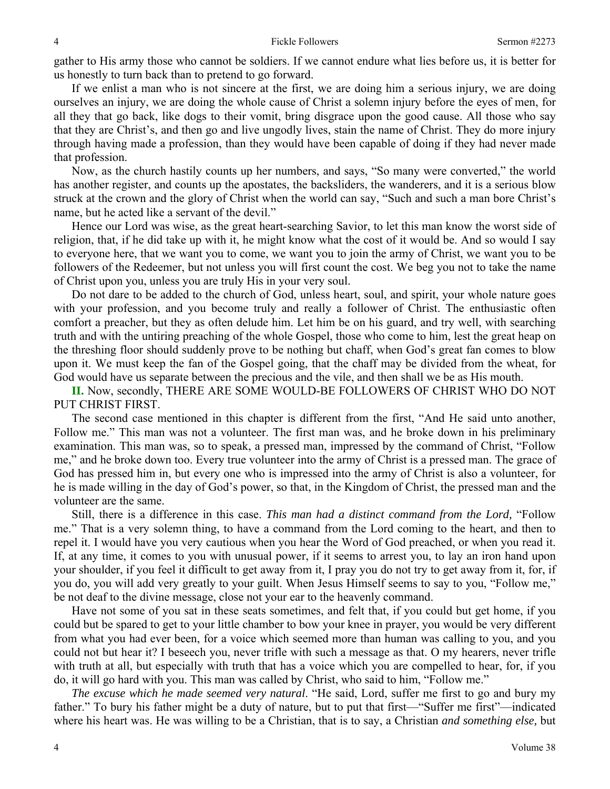gather to His army those who cannot be soldiers. If we cannot endure what lies before us, it is better for us honestly to turn back than to pretend to go forward.

If we enlist a man who is not sincere at the first, we are doing him a serious injury, we are doing ourselves an injury, we are doing the whole cause of Christ a solemn injury before the eyes of men, for all they that go back, like dogs to their vomit, bring disgrace upon the good cause. All those who say that they are Christ's, and then go and live ungodly lives, stain the name of Christ. They do more injury through having made a profession, than they would have been capable of doing if they had never made that profession.

Now, as the church hastily counts up her numbers, and says, "So many were converted," the world has another register, and counts up the apostates, the backsliders, the wanderers, and it is a serious blow struck at the crown and the glory of Christ when the world can say, "Such and such a man bore Christ's name, but he acted like a servant of the devil."

Hence our Lord was wise, as the great heart-searching Savior, to let this man know the worst side of religion, that, if he did take up with it, he might know what the cost of it would be. And so would I say to everyone here, that we want you to come, we want you to join the army of Christ, we want you to be followers of the Redeemer, but not unless you will first count the cost. We beg you not to take the name of Christ upon you, unless you are truly His in your very soul.

Do not dare to be added to the church of God, unless heart, soul, and spirit, your whole nature goes with your profession, and you become truly and really a follower of Christ. The enthusiastic often comfort a preacher, but they as often delude him. Let him be on his guard, and try well, with searching truth and with the untiring preaching of the whole Gospel, those who come to him, lest the great heap on the threshing floor should suddenly prove to be nothing but chaff, when God's great fan comes to blow upon it. We must keep the fan of the Gospel going, that the chaff may be divided from the wheat, for God would have us separate between the precious and the vile, and then shall we be as His mouth.

**II.** Now, secondly, THERE ARE SOME WOULD-BE FOLLOWERS OF CHRIST WHO DO NOT PUT CHRIST FIRST.

The second case mentioned in this chapter is different from the first, "And He said unto another, Follow me." This man was not a volunteer. The first man was, and he broke down in his preliminary examination. This man was, so to speak, a pressed man, impressed by the command of Christ, "Follow me," and he broke down too. Every true volunteer into the army of Christ is a pressed man. The grace of God has pressed him in, but every one who is impressed into the army of Christ is also a volunteer, for he is made willing in the day of God's power, so that, in the Kingdom of Christ, the pressed man and the volunteer are the same.

Still, there is a difference in this case. *This man had a distinct command from the Lord,* "Follow me." That is a very solemn thing, to have a command from the Lord coming to the heart, and then to repel it. I would have you very cautious when you hear the Word of God preached, or when you read it. If, at any time, it comes to you with unusual power, if it seems to arrest you, to lay an iron hand upon your shoulder, if you feel it difficult to get away from it, I pray you do not try to get away from it, for, if you do, you will add very greatly to your guilt. When Jesus Himself seems to say to you, "Follow me," be not deaf to the divine message, close not your ear to the heavenly command.

Have not some of you sat in these seats sometimes, and felt that, if you could but get home, if you could but be spared to get to your little chamber to bow your knee in prayer, you would be very different from what you had ever been, for a voice which seemed more than human was calling to you, and you could not but hear it? I beseech you, never trifle with such a message as that. O my hearers, never trifle with truth at all, but especially with truth that has a voice which you are compelled to hear, for, if you do, it will go hard with you. This man was called by Christ, who said to him, "Follow me."

*The excuse which he made seemed very natural*. "He said, Lord, suffer me first to go and bury my father." To bury his father might be a duty of nature, but to put that first—"Suffer me first"—indicated where his heart was. He was willing to be a Christian, that is to say, a Christian *and something else,* but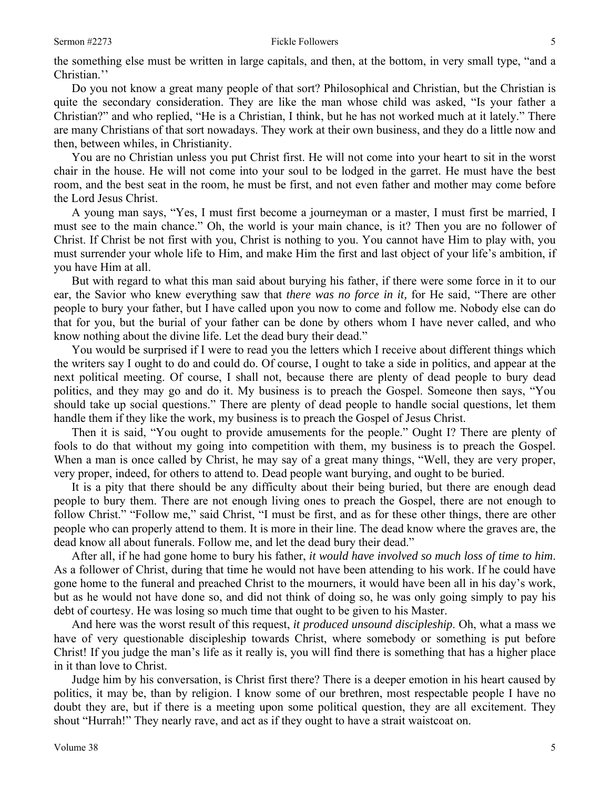#### Sermon #2273 5

the something else must be written in large capitals, and then, at the bottom, in very small type, "and a Christian.''

Do you not know a great many people of that sort? Philosophical and Christian, but the Christian is quite the secondary consideration. They are like the man whose child was asked, "Is your father a Christian?" and who replied, "He is a Christian, I think, but he has not worked much at it lately." There are many Christians of that sort nowadays. They work at their own business, and they do a little now and then, between whiles, in Christianity.

You are no Christian unless you put Christ first. He will not come into your heart to sit in the worst chair in the house. He will not come into your soul to be lodged in the garret. He must have the best room, and the best seat in the room, he must be first, and not even father and mother may come before the Lord Jesus Christ.

A young man says, "Yes, I must first become a journeyman or a master, I must first be married, I must see to the main chance." Oh, the world is your main chance, is it? Then you are no follower of Christ. If Christ be not first with you, Christ is nothing to you. You cannot have Him to play with, you must surrender your whole life to Him, and make Him the first and last object of your life's ambition, if you have Him at all.

But with regard to what this man said about burying his father, if there were some force in it to our ear, the Savior who knew everything saw that *there was no force in it,* for He said, "There are other people to bury your father, but I have called upon you now to come and follow me. Nobody else can do that for you, but the burial of your father can be done by others whom I have never called, and who know nothing about the divine life. Let the dead bury their dead."

You would be surprised if I were to read you the letters which I receive about different things which the writers say I ought to do and could do. Of course, I ought to take a side in politics, and appear at the next political meeting. Of course, I shall not, because there are plenty of dead people to bury dead politics, and they may go and do it. My business is to preach the Gospel. Someone then says, "You should take up social questions." There are plenty of dead people to handle social questions, let them handle them if they like the work, my business is to preach the Gospel of Jesus Christ.

Then it is said, "You ought to provide amusements for the people." Ought I? There are plenty of fools to do that without my going into competition with them, my business is to preach the Gospel. When a man is once called by Christ, he may say of a great many things, "Well, they are very proper, very proper, indeed, for others to attend to. Dead people want burying, and ought to be buried.

It is a pity that there should be any difficulty about their being buried, but there are enough dead people to bury them. There are not enough living ones to preach the Gospel, there are not enough to follow Christ." "Follow me," said Christ, "I must be first, and as for these other things, there are other people who can properly attend to them. It is more in their line. The dead know where the graves are, the dead know all about funerals. Follow me, and let the dead bury their dead."

After all, if he had gone home to bury his father, *it would have involved so much loss of time to him*. As a follower of Christ, during that time he would not have been attending to his work. If he could have gone home to the funeral and preached Christ to the mourners, it would have been all in his day's work, but as he would not have done so, and did not think of doing so, he was only going simply to pay his debt of courtesy. He was losing so much time that ought to be given to his Master.

And here was the worst result of this request, *it produced unsound discipleship*. Oh, what a mass we have of very questionable discipleship towards Christ, where somebody or something is put before Christ! If you judge the man's life as it really is, you will find there is something that has a higher place in it than love to Christ.

Judge him by his conversation, is Christ first there? There is a deeper emotion in his heart caused by politics, it may be, than by religion. I know some of our brethren, most respectable people I have no doubt they are, but if there is a meeting upon some political question, they are all excitement. They shout "Hurrah!" They nearly rave, and act as if they ought to have a strait waistcoat on.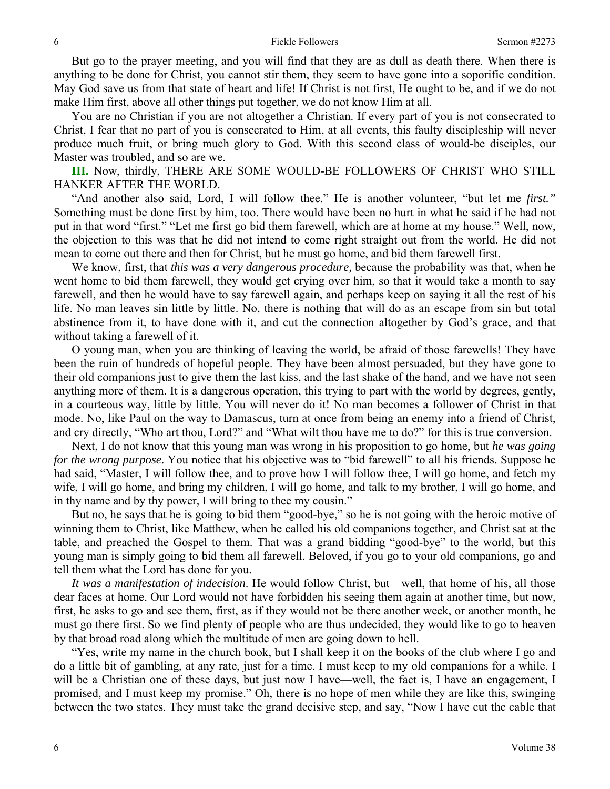But go to the prayer meeting, and you will find that they are as dull as death there. When there is anything to be done for Christ, you cannot stir them, they seem to have gone into a soporific condition. May God save us from that state of heart and life! If Christ is not first, He ought to be, and if we do not make Him first, above all other things put together, we do not know Him at all.

You are no Christian if you are not altogether a Christian. If every part of you is not consecrated to Christ, I fear that no part of you is consecrated to Him, at all events, this faulty discipleship will never produce much fruit, or bring much glory to God. With this second class of would-be disciples, our Master was troubled, and so are we.

**III.** Now, thirdly, THERE ARE SOME WOULD-BE FOLLOWERS OF CHRIST WHO STILL HANKER AFTER THE WORLD.

"And another also said, Lord, I will follow thee." He is another volunteer, "but let me *first."* Something must be done first by him, too. There would have been no hurt in what he said if he had not put in that word "first." "Let me first go bid them farewell, which are at home at my house." Well, now, the objection to this was that he did not intend to come right straight out from the world. He did not mean to come out there and then for Christ, but he must go home, and bid them farewell first.

We know, first, that *this was a very dangerous procedure,* because the probability was that, when he went home to bid them farewell, they would get crying over him, so that it would take a month to say farewell, and then he would have to say farewell again, and perhaps keep on saying it all the rest of his life. No man leaves sin little by little. No, there is nothing that will do as an escape from sin but total abstinence from it, to have done with it, and cut the connection altogether by God's grace, and that without taking a farewell of it.

O young man, when you are thinking of leaving the world, be afraid of those farewells! They have been the ruin of hundreds of hopeful people. They have been almost persuaded, but they have gone to their old companions just to give them the last kiss, and the last shake of the hand, and we have not seen anything more of them. It is a dangerous operation, this trying to part with the world by degrees, gently, in a courteous way, little by little. You will never do it! No man becomes a follower of Christ in that mode. No, like Paul on the way to Damascus, turn at once from being an enemy into a friend of Christ, and cry directly, "Who art thou, Lord?" and "What wilt thou have me to do?" for this is true conversion.

Next, I do not know that this young man was wrong in his proposition to go home, but *he was going for the wrong purpose*. You notice that his objective was to "bid farewell" to all his friends. Suppose he had said, "Master, I will follow thee, and to prove how I will follow thee, I will go home, and fetch my wife, I will go home, and bring my children, I will go home, and talk to my brother, I will go home, and in thy name and by thy power, I will bring to thee my cousin."

But no, he says that he is going to bid them "good-bye," so he is not going with the heroic motive of winning them to Christ, like Matthew, when he called his old companions together, and Christ sat at the table, and preached the Gospel to them. That was a grand bidding "good-bye" to the world, but this young man is simply going to bid them all farewell. Beloved, if you go to your old companions, go and tell them what the Lord has done for you.

*It was a manifestation of indecision*. He would follow Christ, but—well, that home of his, all those dear faces at home. Our Lord would not have forbidden his seeing them again at another time, but now, first, he asks to go and see them, first, as if they would not be there another week, or another month, he must go there first. So we find plenty of people who are thus undecided, they would like to go to heaven by that broad road along which the multitude of men are going down to hell.

"Yes, write my name in the church book, but I shall keep it on the books of the club where I go and do a little bit of gambling, at any rate, just for a time. I must keep to my old companions for a while. I will be a Christian one of these days, but just now I have—well, the fact is, I have an engagement, I promised, and I must keep my promise." Oh, there is no hope of men while they are like this, swinging between the two states. They must take the grand decisive step, and say, "Now I have cut the cable that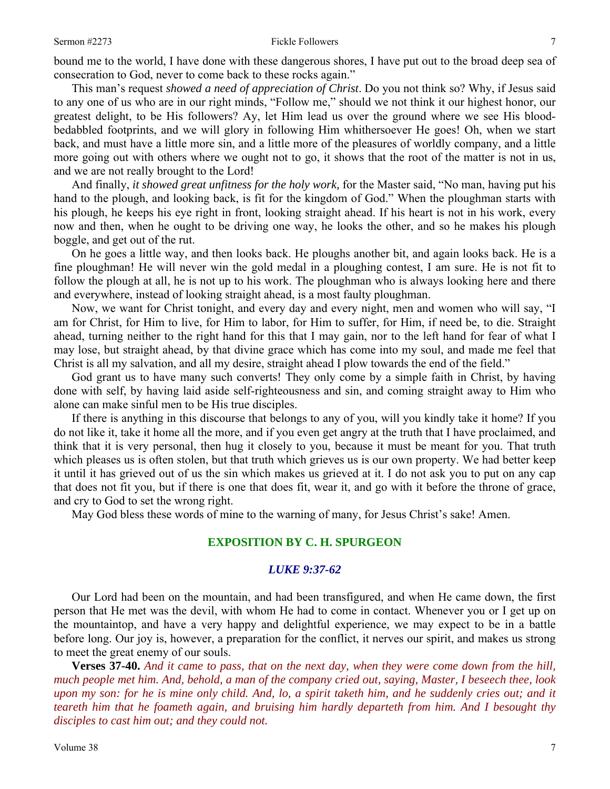#### Sermon #2273 **Fickle Followers Fickle Followers** 7

bound me to the world, I have done with these dangerous shores, I have put out to the broad deep sea of consecration to God, never to come back to these rocks again."

This man's request *showed a need of appreciation of Christ*. Do you not think so? Why, if Jesus said to any one of us who are in our right minds, "Follow me," should we not think it our highest honor, our greatest delight, to be His followers? Ay, let Him lead us over the ground where we see His bloodbedabbled footprints, and we will glory in following Him whithersoever He goes! Oh, when we start back, and must have a little more sin, and a little more of the pleasures of worldly company, and a little more going out with others where we ought not to go, it shows that the root of the matter is not in us, and we are not really brought to the Lord!

And finally, *it showed great unfitness for the holy work,* for the Master said, "No man, having put his hand to the plough, and looking back, is fit for the kingdom of God." When the ploughman starts with his plough, he keeps his eye right in front, looking straight ahead. If his heart is not in his work, every now and then, when he ought to be driving one way, he looks the other, and so he makes his plough boggle, and get out of the rut.

On he goes a little way, and then looks back. He ploughs another bit, and again looks back. He is a fine ploughman! He will never win the gold medal in a ploughing contest, I am sure. He is not fit to follow the plough at all, he is not up to his work. The ploughman who is always looking here and there and everywhere, instead of looking straight ahead, is a most faulty ploughman.

Now, we want for Christ tonight, and every day and every night, men and women who will say, "I am for Christ, for Him to live, for Him to labor, for Him to suffer, for Him, if need be, to die. Straight ahead, turning neither to the right hand for this that I may gain, nor to the left hand for fear of what I may lose, but straight ahead, by that divine grace which has come into my soul, and made me feel that Christ is all my salvation, and all my desire, straight ahead I plow towards the end of the field."

God grant us to have many such converts! They only come by a simple faith in Christ, by having done with self, by having laid aside self-righteousness and sin, and coming straight away to Him who alone can make sinful men to be His true disciples.

If there is anything in this discourse that belongs to any of you, will you kindly take it home? If you do not like it, take it home all the more, and if you even get angry at the truth that I have proclaimed, and think that it is very personal, then hug it closely to you, because it must be meant for you. That truth which pleases us is often stolen, but that truth which grieves us is our own property. We had better keep it until it has grieved out of us the sin which makes us grieved at it. I do not ask you to put on any cap that does not fit you, but if there is one that does fit, wear it, and go with it before the throne of grace, and cry to God to set the wrong right.

May God bless these words of mine to the warning of many, for Jesus Christ's sake! Amen.

# **EXPOSITION BY C. H. SPURGEON**

## *LUKE 9:37-62*

Our Lord had been on the mountain, and had been transfigured, and when He came down, the first person that He met was the devil, with whom He had to come in contact. Whenever you or I get up on the mountaintop, and have a very happy and delightful experience, we may expect to be in a battle before long. Our joy is, however, a preparation for the conflict, it nerves our spirit, and makes us strong to meet the great enemy of our souls.

**Verses 37-40.** *And it came to pass, that on the next day, when they were come down from the hill, much people met him. And, behold, a man of the company cried out, saying, Master, I beseech thee, look upon my son: for he is mine only child. And, lo, a spirit taketh him, and he suddenly cries out; and it teareth him that he foameth again, and bruising him hardly departeth from him. And I besought thy disciples to cast him out; and they could not.*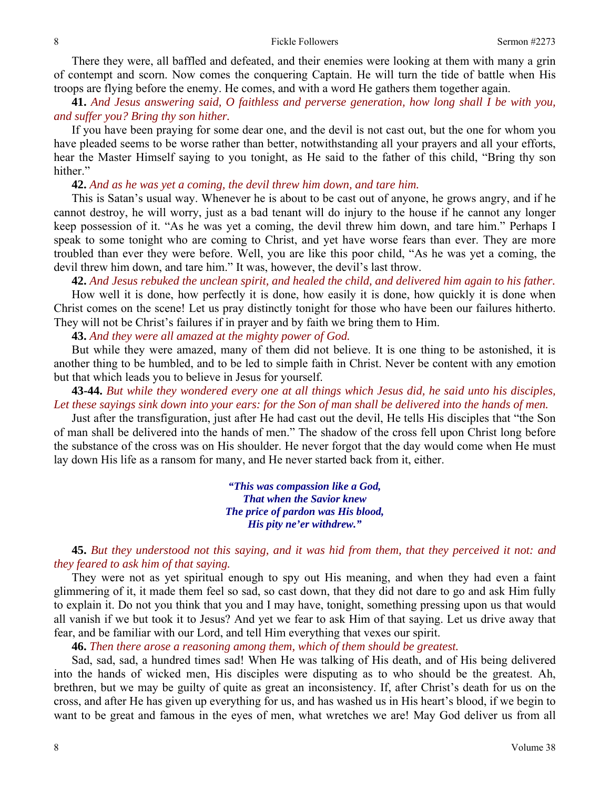There they were, all baffled and defeated, and their enemies were looking at them with many a grin of contempt and scorn. Now comes the conquering Captain. He will turn the tide of battle when His troops are flying before the enemy. He comes, and with a word He gathers them together again.

**41.** *And Jesus answering said, O faithless and perverse generation, how long shall I be with you, and suffer you? Bring thy son hither.* 

If you have been praying for some dear one, and the devil is not cast out, but the one for whom you have pleaded seems to be worse rather than better, notwithstanding all your prayers and all your efforts, hear the Master Himself saying to you tonight, as He said to the father of this child, "Bring thy son hither."

#### **42.** *And as he was yet a coming, the devil threw him down, and tare him.*

This is Satan's usual way. Whenever he is about to be cast out of anyone, he grows angry, and if he cannot destroy, he will worry, just as a bad tenant will do injury to the house if he cannot any longer keep possession of it. "As he was yet a coming, the devil threw him down, and tare him." Perhaps I speak to some tonight who are coming to Christ, and yet have worse fears than ever. They are more troubled than ever they were before. Well, you are like this poor child, "As he was yet a coming, the devil threw him down, and tare him." It was, however, the devil's last throw.

**42.** *And Jesus rebuked the unclean spirit, and healed the child, and delivered him again to his father.*

How well it is done, how perfectly it is done, how easily it is done, how quickly it is done when Christ comes on the scene! Let us pray distinctly tonight for those who have been our failures hitherto. They will not be Christ's failures if in prayer and by faith we bring them to Him.

**43.** *And they were all amazed at the mighty power of God.*

But while they were amazed, many of them did not believe. It is one thing to be astonished, it is another thing to be humbled, and to be led to simple faith in Christ. Never be content with any emotion but that which leads you to believe in Jesus for yourself.

**43-44.** *But while they wondered every one at all things which Jesus did, he said unto his disciples, Let these sayings sink down into your ears: for the Son of man shall be delivered into the hands of men.*

Just after the transfiguration, just after He had cast out the devil, He tells His disciples that "the Son of man shall be delivered into the hands of men." The shadow of the cross fell upon Christ long before the substance of the cross was on His shoulder. He never forgot that the day would come when He must lay down His life as a ransom for many, and He never started back from it, either.

> *"This was compassion like a God, That when the Savior knew The price of pardon was His blood, His pity ne'er withdrew."*

**45.** *But they understood not this saying, and it was hid from them, that they perceived it not: and they feared to ask him of that saying.*

They were not as yet spiritual enough to spy out His meaning, and when they had even a faint glimmering of it, it made them feel so sad, so cast down, that they did not dare to go and ask Him fully to explain it. Do not you think that you and I may have, tonight, something pressing upon us that would all vanish if we but took it to Jesus? And yet we fear to ask Him of that saying. Let us drive away that fear, and be familiar with our Lord, and tell Him everything that vexes our spirit.

**46.** *Then there arose a reasoning among them, which of them should be greatest.*

Sad, sad, sad, a hundred times sad! When He was talking of His death, and of His being delivered into the hands of wicked men, His disciples were disputing as to who should be the greatest. Ah, brethren, but we may be guilty of quite as great an inconsistency. If, after Christ's death for us on the cross, and after He has given up everything for us, and has washed us in His heart's blood, if we begin to want to be great and famous in the eyes of men, what wretches we are! May God deliver us from all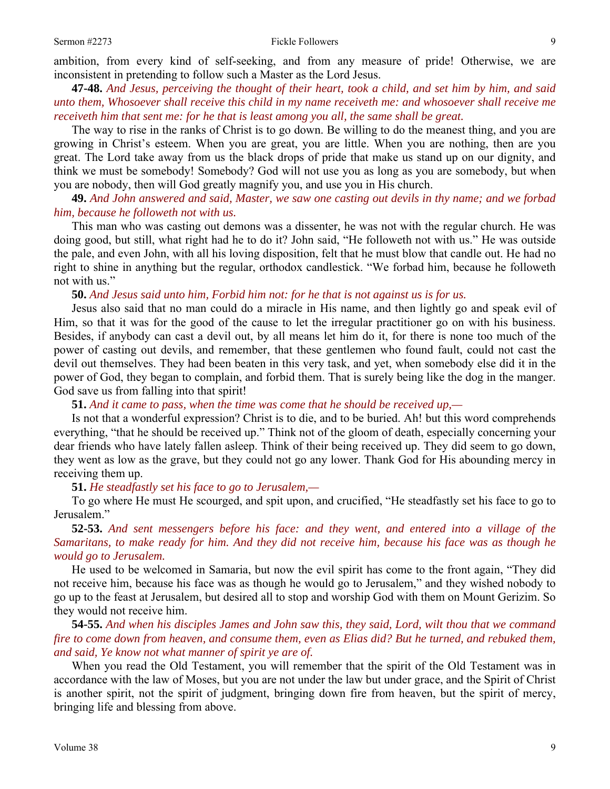ambition, from every kind of self-seeking, and from any measure of pride! Otherwise, we are inconsistent in pretending to follow such a Master as the Lord Jesus.

**47-48.** *And Jesus, perceiving the thought of their heart, took a child, and set him by him, and said unto them, Whosoever shall receive this child in my name receiveth me: and whosoever shall receive me receiveth him that sent me: for he that is least among you all, the same shall be great.*

The way to rise in the ranks of Christ is to go down. Be willing to do the meanest thing, and you are growing in Christ's esteem. When you are great, you are little. When you are nothing, then are you great. The Lord take away from us the black drops of pride that make us stand up on our dignity, and think we must be somebody! Somebody? God will not use you as long as you are somebody, but when you are nobody, then will God greatly magnify you, and use you in His church.

# **49.** *And John answered and said, Master, we saw one casting out devils in thy name; and we forbad him, because he followeth not with us.*

This man who was casting out demons was a dissenter, he was not with the regular church. He was doing good, but still, what right had he to do it? John said, "He followeth not with us." He was outside the pale, and even John, with all his loving disposition, felt that he must blow that candle out. He had no right to shine in anything but the regular, orthodox candlestick. "We forbad him, because he followeth not with us."

# **50.** *And Jesus said unto him, Forbid him not: for he that is not against us is for us.*

Jesus also said that no man could do a miracle in His name, and then lightly go and speak evil of Him, so that it was for the good of the cause to let the irregular practitioner go on with his business. Besides, if anybody can cast a devil out, by all means let him do it, for there is none too much of the power of casting out devils, and remember, that these gentlemen who found fault, could not cast the devil out themselves. They had been beaten in this very task, and yet, when somebody else did it in the power of God, they began to complain, and forbid them. That is surely being like the dog in the manger. God save us from falling into that spirit!

**51.** *And it came to pass, when the time was come that he should be received up,—*

Is not that a wonderful expression? Christ is to die, and to be buried. Ah! but this word comprehends everything, "that he should be received up." Think not of the gloom of death, especially concerning your dear friends who have lately fallen asleep. Think of their being received up. They did seem to go down, they went as low as the grave, but they could not go any lower. Thank God for His abounding mercy in receiving them up.

## **51.** *He steadfastly set his face to go to Jerusalem,—*

To go where He must He scourged, and spit upon, and crucified, "He steadfastly set his face to go to Jerusalem."

**52-53.** *And sent messengers before his face: and they went, and entered into a village of the Samaritans, to make ready for him. And they did not receive him, because his face was as though he would go to Jerusalem.*

He used to be welcomed in Samaria, but now the evil spirit has come to the front again, "They did not receive him, because his face was as though he would go to Jerusalem," and they wished nobody to go up to the feast at Jerusalem, but desired all to stop and worship God with them on Mount Gerizim. So they would not receive him.

**54-55.** *And when his disciples James and John saw this, they said, Lord, wilt thou that we command fire to come down from heaven, and consume them, even as Elias did? But he turned, and rebuked them, and said, Ye know not what manner of spirit ye are of.*

When you read the Old Testament, you will remember that the spirit of the Old Testament was in accordance with the law of Moses, but you are not under the law but under grace, and the Spirit of Christ is another spirit, not the spirit of judgment, bringing down fire from heaven, but the spirit of mercy, bringing life and blessing from above.